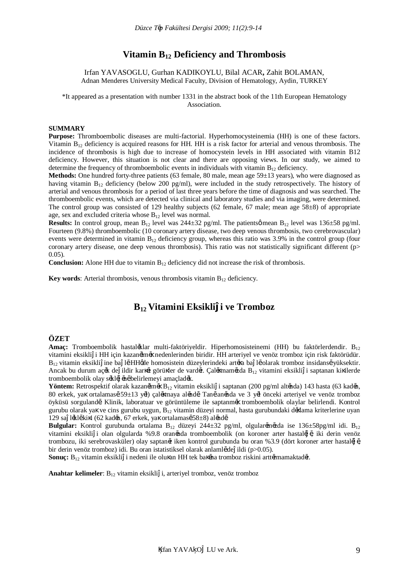# **Vitamin B12 Deficiency and Thrombosis**

Irfan YAVASOGLU, Gurhan KADIKOYLU, Bilal ACAR**,** Zahit BOLAMAN, Adnan Menderes University Medical Faculty, Division of Hematology, Aydin, TURKEY

\*It appeared as a presentation with number 1331 in the abstract book of the 11th European Hematology Association.

#### **SUMMARY**

**Purpose:** Thromboembolic diseases are multi-factorial. Hyperhomocysteinemia (HH) is one of these factors. Vitamin  $B_{12}$  deficiency is acquired reasons for HH. HH is a risk factor for arterial and venous thrombosis. The incidence of thrombosis is high due to increase of homocystein levels in HH associated with vitamin B12 deficiency. However, this situation is not clear and there are opposing views. In our study, we aimed to determine the frequency of thromboembolic events in individuals with vitamin  $B_{12}$  deficiency.

**Methods:** One hundred forty-three patients (63 female, 80 male, mean age 59±13 years), who were diagnosed as having vitamin B<sub>12</sub> deficiency (below 200 pg/ml), were included in the study retrospectively. The history of arterial and venous thrombosis for a period of last three years before the time of diagnosis and was searched. The thromboembolic events, which are detected via clinical and laboratory studies and via imaging, were determined. The control group was consisted of 129 healthy subjects (62 female, 67 male; mean age  $58\pm8$ ) of appropriate age, sex and excluded criteria whose  $B_{12}$  level was normal.

**Results:** In control group, mean  $B_{12}$  level was  $244\pm32$  pg/ml. The patients  $\emptyset$  mean  $B_{12}$  level was  $136\pm58$  pg/ml. Fourteen (9.8%) thromboembolic (10 coronary artery disease, two deep venous thrombosis, two cerebrovascular) events were determined in vitamin  $B_{12}$  deficiency group, whereas this ratio was 3.9% in the control group (four coronary artery disease, one deep venous thrombosis). This ratio was not statistically significant different (p> 0.05).

**Conclusion:** Alone HH due to vitamin  $B_{12}$  deficiency did not increase the risk of thrombosis.

**Key words:** Arterial thrombosis, venous thrombosis vitamin B<sub>12</sub> deficiency.

# **B12 Vitamini Eksikli i ve Tromboz**

#### **ÖZET**

**Amac:** Tromboembolik hastal.klar multi-faktöriveldir. Hiperhomosisteinemi (HH) bu faktörlerdendir. B<sub>12</sub> vitamini eksikli i HH için kazanılmış nedenlerinden biridir. HH arteriyel ve venöz tromboz için risk faktörüdür. B<sub>12</sub> vitamin eksikli ine ba 1, HHøde homosistein düzeylerindeki art, a ba 1, olarak tromboz insidans, yüksektir. Ancak bu durum aç,k de ildir kar,t görü ler de vard,r. Çal, mam,zda B<sub>12</sub> vitamini eksikli i saptanan ki ilerde tromboembolik olay s,kl, ,n, belirlemeyi amaçlad,k.

Yöntem: Retrospektif olarak kazan,lm, B<sub>12</sub> vitamin eksikli i saptanan (200 pg/ml alt,nda) 143 hasta (63 kad,n, 80 erkek, ya ortalamas, 59±13 y,l) çal, maya al,nd,. Tan, an,nda ve 3 y,l önceki arteriyel ve venöz tromboz öyküsü sorgulandı. Klinik, laboratuar ve görüntüleme ile saptanmış tromboembolik olaylar belirlendi. Kontrol gurubu olarak ya ve cins gurubu uygun,  $B_{12}$  vitamin düzeyi normal, hasta gurubundaki d, lama kriterlerine uyan 129 sa l,kl, ki i  $(62 \text{ kad}, n, 67 \text{ erkek}, \text{ya 200})$  ortalamas,  $58\pm8$ ) al,nd,.

Bulgular: Kontrol gurubunda ortalama B<sub>12</sub> düzeyi 244±32 pg/ml, olgular,m,zda ise 136±58pg/ml idi. B<sub>12</sub> vitamini eksikli i olan olgularda %9.8 oran,nda tromboembolik (on koroner arter hastal, "iki derin venöz trombozu, iki serebrovasküler) olay saptan, riken kontrol gurubunda bu oran %3.9 (dört koroner arter hastal, " bir derin venöz tromboz) idi. Bu oran istatistiksel olarak anlaml, de ildi (p>0.05).

Sonuç: B<sub>12</sub> vitamin eksikli i nedeni ile olu an HH tek ba ,na tromboz riskini artt,rmamaktad,r.

**Anahtar kelimeler**: B<sub>12</sub> vitamin eksikli i, arteriyel tromboz, venöz tromboz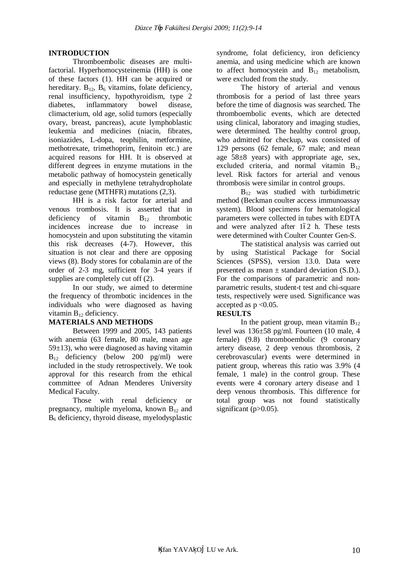### **INTRODUCTION**

Thromboembolic diseases are multifactorial. Hyperhomocysteinemia (HH) is one of these factors (1). HH can be acquired or hereditary.  $B_{12}$ ,  $B_6$  vitamins, folate deficiency, renal insufficiency, hypothyroidism, type 2 diabetes, inflammatory bowel disease, climacterium, old age, solid tumors (especially ovary, breast, pancreas), acute lymphoblastic leukemia and medicines (niacin, fibrates, isoniazides, L-dopa, teophilin, metformine, methotrexate, trimethoprim, fenitoin etc.) are acquired reasons for HH. It is observed at different degrees in enzyme mutations in the metabolic pathway of homocystein genetically and especially in methylene tetrahydropholate reductase gene (MTHFR) mutations (2,3).

HH is a risk factor for arterial and venous trombosis. It is asserted that in deficiency of vitamin B<sub>12</sub> thrombotic incidences increase due to increase in homocystein and upon substituting the vitamin this risk decreases (4-7). However, this situation is not clear and there are opposing views (8). Body stores for cobalamin are of the order of 2-3 mg, sufficient for 3-4 years if supplies are completely cut off (2).

In our study, we aimed to determine the frequency of thrombotic incidences in the individuals who were diagnosed as having vitamin  $B_{12}$  deficiency.

### **MATERIALS AND METHODS**

Between 1999 and 2005, 143 patients with anemia (63 female, 80 male, mean age  $59±13$ ), who were diagnosed as having vitamin  $B_{12}$  deficiency (below 200 pg/ml) were included in the study retrospectively. We took approval for this research from the ethical committee of Adnan Menderes University Medical Faculty.

Those with renal deficiency or pregnancy, multiple myeloma, known  $B_{12}$  and B6 deficiency, thyroid disease, myelodysplastic

syndrome, folat deficiency, iron deficiency anemia, and using medicine which are known to affect homocystein and  $B_{12}$  metabolism, were excluded from the study.

The history of arterial and venous thrombosis for a period of last three years before the time of diagnosis was searched. The thromboembolic events, which are detected using clinical, laboratory and imaging studies, were determined. The healthy control group, who admitted for checkup, was consisted of 129 persons (62 female, 67 male; and mean age 58±8 years) with appropriate age, sex, excluded criteria, and normal vitamin  $B_{12}$ level. Risk factors for arterial and venous thrombosis were similar in control groups.

 $B_{12}$  was studied with turbidimetric method (Beckman coulter access immunoassay system). Blood specimens for hematological parameters were collected in tubes with EDTA and were analyzed after 162 h. These tests were determined with Coulter Counter Gen-S.

The statistical analysis was carried out by using Statistical Package for Social Sciences (SPSS), version 13.0. Data were presented as mean  $\pm$  standard deviation (S.D.). For the comparisons of parametric and nonparametric results, student-t test and chi-square tests, respectively were used. Significance was accepted as  $p \leq 0.05$ .

## **RESULTS**

In the patient group, mean vitamin  $B_{12}$ level was 136±58 pg/ml. Fourteen (10 male, 4 female) (9.8) thromboembolic (9 coronary artery disease, 2 deep venous thrombosis, 2 cerebrovascular) events were determined in patient group, whereas this ratio was 3.9% (4 female, 1 male) in the control group. These events were 4 coronary artery disease and 1 deep venous thrombosis. This difference for total group was not found statistically significant  $(p>0.05)$ .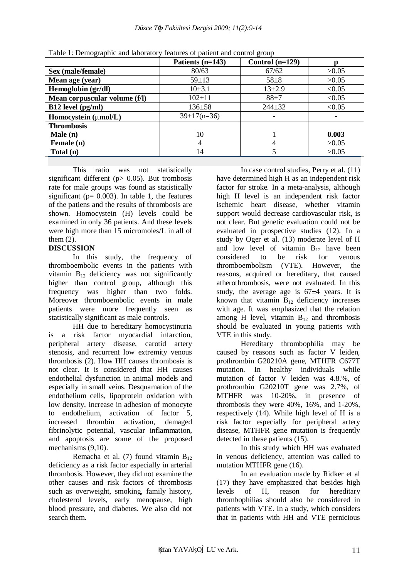|                               | Patients (n=143)  | Control $(n=129)$ |        |
|-------------------------------|-------------------|-------------------|--------|
| Sex (male/female)             | 80/63             | 67/62             | >0.05  |
| Mean age (year)               | $59 \pm 13$       | $58 + 8$          | >0.05  |
| Hemoglobin (gr/dl)            | $10\pm3.1$        | $13 + 2.9$        | < 0.05 |
| Mean corpuscular volume (f/l) | $102 \pm 11$      | $88 + 7$          | < 0.05 |
| $B12$ level (pg/ml)           | 136±58            | $244 + 32$        | < 0.05 |
| Homocystein (µmol/L)          | $39 \pm 17(n=36)$ |                   |        |
| <b>Thrombosis</b>             |                   |                   |        |
| Male(n)                       | 10                |                   | 0.003  |
| Female (n)                    | 4                 |                   | >0.05  |
| Total (n)                     | 14                |                   | >0.05  |

Table 1: Demographic and laboratory features of patient and control group

This ratio was not statistically significant different ( $p$  $>$  0.05). But trombosis rate for male groups was found as statistically significant ( $p= 0.003$ ). In table 1, the features of the patiens and the results of thrombosis are shown. Homocystein (H) levels could be examined in only 36 patients. And these levels were high more than 15 micromoles/L in all of them  $(2)$ .

## **DISCUSSION**

In this study, the frequency of thromboembolic events in the patients with vitamin  $B_{12}$  deficiency was not significantly higher than control group, although this frequency was higher than two folds. Moreover thromboembolic events in male patients were more frequently seen as statistically significant as male controls.

HH due to hereditary homocystinuria is a risk factor myocardial infarction, peripheral artery disease, carotid artery stenosis, and recurrent low extremity venous thrombosis (2). How HH causes thrombosis is not clear. It is considered that HH causes endothelial dysfunction in animal models and especially in small veins. Desquamation of the endothelium cells, lipoprotein oxidation with low density, increase in adhesion of monocyte to endothelium, activation of factor 5, increased thrombin activation, damaged fibrinolytic potential, vascular inflammation, and apoptosis are some of the proposed mechanisms  $(9,10)$ .

Remacha et al. (7) found vitamin  $B_{12}$ deficiency as a risk factor especially in arterial thrombosis. However, they did not examine the other causes and risk factors of thrombosis such as overweight, smoking, family history, cholesterol levels, early menopause, high blood pressure, and diabetes. We also did not search them.

In case control studies, Perry et al. (11) have determined high H as an independent risk factor for stroke. In a meta-analysis, although high H level is an independent risk factor ischemic heart disease, whether vitamin support would decrease cardiovascular risk, is not clear. But genetic evaluation could not be evaluated in prospective studies (12). In a study by Oger et al. (13) moderate level of H and low level of vitamin  $B_{12}$  have been considered to be risk for venous thromboembolism (VTE). However, the reasons, acquired or hereditary, that caused atherothrombosis, were not evaluated. In this study, the average age is  $67±4$  years. It is known that vitamin  $B_{12}$  deficiency increases with age. It was emphasized that the relation among H level, vitamin  $B_{12}$  and thrombosis should be evaluated in young patients with VTE in this study.

Hereditary thrombophilia may be caused by reasons such as factor V leiden, prothrombin G20210A gene, MTHFR C677T mutation. In healthy individuals while mutation of factor V leiden was 4.8.%, of prothrombin G20210T gene was 2.7%, of MTHFR was 10-20%, in presence of thrombosis they were 40%, 16%, and 1-20%, respectively (14). While high level of H is a risk factor especially for peripheral artery disease, MTHFR gene mutation is frequently detected in these patients (15).

In this study which HH was evaluated in venous deficiency, attention was called to mutation MTHFR gene (16).

In an evaluation made by Ridker et al (17) they have emphasized that besides high levels of H, reason for hereditary thrombophilias should also be considered in patients with VTE. In a study, which considers that in patients with HH and VTE pernicious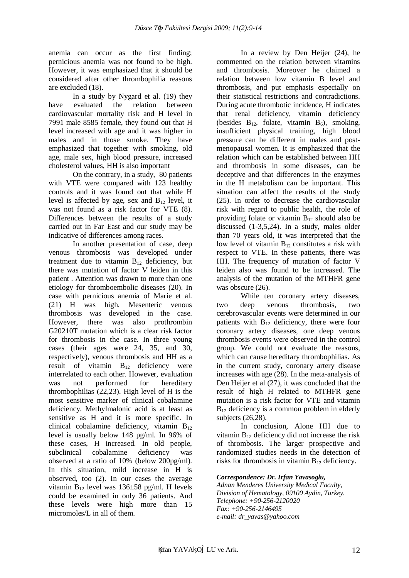anemia can occur as the first finding; pernicious anemia was not found to be high. However, it was emphasized that it should be considered after other thrombophilia reasons are excluded (18).

In a study by Nygard et al. (19) they have evaluated the relation between cardiovascular mortality risk and H level in 7991 male 8585 female, they found out that H level increased with age and it was higher in males and in those smoke. They have emphasized that together with smoking, old age, male sex, high blood pressure, increased cholesterol values, HH is also important

On the contrary, in a study, 80 patients with VTE were compared with 123 healthy controls and it was found out that while H level is affected by age, sex and  $B_{12}$  level, it was not found as a risk factor for VTE (8). Differences between the results of a study carried out in Far East and our study may be indicative of differences among races.

In another presentation of case, deep venous thrombosis was developed under treatment due to vitamin  $B_{12}$  deficiency, but there was mutation of factor V leiden in this patient . Attention was drawn to more than one etiology for thromboembolic diseases (20). In case with pernicious anemia of Marie et al. (21) H was high. Mesenteric venous thrombosis was developed in the case. However, there was also prothrombin G20210T mutation which is a clear risk factor for thrombosis in the case. In three young cases (their ages were 24, 35, and 30, respectively), venous thrombosis and HH as a result of vitamin  $B_{12}$  deficiency were interrelated to each other. However, evaluation was not performed for hereditary thrombophilias (22,23). High level of H is the most sensitive marker of clinical cobalamine deficiency. Methylmalonic acid is at least as sensitive as H and it is more specific. In clinical cobalamine deficiency, vitamin  $B_{12}$ level is usually below 148 pg/ml. In 96% of these cases, H increased. In old people, subclinical cobalamine deficiency was observed at a ratio of 10% (below 200pg/ml). In this situation, mild increase in H is observed, too (2). In our cases the average vitamin  $B_{12}$  level was 136 $\pm$ 58 pg/ml. H levels could be examined in only 36 patients. And these levels were high more than 15 micromoles/L in all of them.

In a review by Den Heijer (24), he commented on the relation between vitamins and thrombosis. Moreover he claimed a relation between low vitamin B level and thrombosis, and put emphasis especially on their statistical restrictions and contradictions. During acute thrombotic incidence, H indicates that renal deficiency, vitamin deficiency (besides  $B_{12}$ , folate, vitamin  $B_6$ ), smoking, insufficient physical training, high blood pressure can be different in males and postmenopausal women. It is emphasized that the relation which can be established between HH and thrombosis in some diseases, can be deceptive and that differences in the enzymes in the H metabolism can be important. This situation can affect the results of the study (25). In order to decrease the cardiovascular risk with regard to public health, the role of providing folate or vitamin  $B_{12}$  should also be discussed (1-3,5,24). In a study, males older than 70 years old, it was interpreted that the low level of vitamin  $B_{12}$  constitutes a risk with respect to VTE. In these patients, there was HH. The frequency of mutation of factor V leiden also was found to be increased. The analysis of the mutation of the MTHFR gene was obscure  $(26)$ .

While ten coronary artery diseases, two deep venous thrombosis, two cerebrovascular events were determined in our patients with  $B_{12}$  deficiency, there were four coronary artery diseases, one deep venous thrombosis events were observed in the control group. We could not evaluate the reasons, which can cause hereditary thrombophilias. As in the current study, coronary artery disease increases with age (28). In the meta-analysis of Den Heijer et al (27), it was concluded that the result of high H related to MTHFR gene mutation is a risk factor for VTE and vitamin  $B_{12}$  deficiency is a common problem in elderly subjects (26,28).

In conclusion, Alone HH due to vitamin  $B_{12}$  deficiency did not increase the risk of thrombosis. The larger prospective and randomized studies needs in the detection of risks for thrombosis in vitamin  $B_{12}$  deficiency.

#### *Correspondence: Dr. Irfan Yavasoglu,*

*Adnan Menderes University Medical Faculty, Division of Hematology, 09100 Aydin, Turkey. Telephone: +90-256-2120020 Fax: +90-256-2146495 e-mail: dr\_yavas@yahoo.com*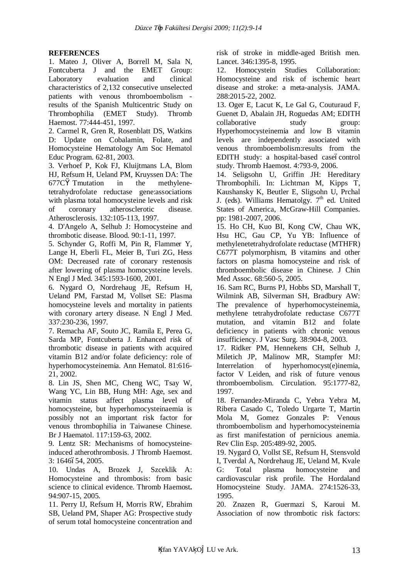### **REFERENCES**

1. Mateo J, Oliver A, Borrell M, Sala N, Fontcuberta J and the EMET Group: Laboratory evaluation and clinical characteristics of 2,132 consecutive unselected patients with venous thromboembolism results of the Spanish Multicentric Study on Thrombophilia (EMET Study). Thromb Haemost. 77:444-451, 1997.

2. Carmel R, Gren R, Rosenblatt DS, Watkins D: Update on Cobalamin, Folate, and Homocysteine Hematology Am Soc Hematol Educ Program. 62-81, 2003.

3. Verhoef P, Kok FJ, Kluijtmans LA, Blom HJ, Refsum H, Ueland PM, Kruyssen DA: The 677C Tmutation in the methylenetetrahydrofolate reductase gene:associations with plasma total homocysteine levels and risk of coronary atherosclerotic disease. Atherosclerosis. 132:105-113, 1997.

4. D'Angelo A, Selhub J: Homocysteine and thrombotic disease. Blood. 90:1-11, 1997.

5. Schynder G, Roffi M, Pin R, Flammer Y, Lange H, Eberli FL, Meier B, Turi ZG, Hess OM: Decreased rate of coronary restenosis after lowering of plasma homocysteine levels. N Engl J Med. 345:1593-1600, 2001.

6. Nygard O, Nordrehaug JE, Refsum H, Ueland PM, Farstad M, Vollset SE: Plasma homocysteine levels and mortality in patients with coronary artery disease. N Engl J Med. 337:230-236, 1997.

7. Remacha AF, Souto JC, Ramila E, Perea G, Sarda MP, Fontcuberta J. Enhanced risk of thrombotic disease in patients with acquired vitamin B12 and/or folate deficiency: role of hyperhomocysteinemia. Ann Hematol. 81:616- 21, 2002.

8. Lin JS, Shen MC, Cheng WC, Tsay W, Wang YC, Lin BB, Hung MH: Age, sex and vitamin status affect plasma level of homocysteine, but hyperhomocysteinaemia is possibly not an important risk factor for venous thrombophilia in Taiwanese Chinese. Br J Haematol. 117:159-63, 2002.

9. Lentz SR: Mechanisms of homocysteineinduced atherothrombosis. J Thromb Haemost. 3: 1646654, 2005.

10. Undas A, Brozek J, Szceklik A: Homocysteine and thrombosis: from basic science to clinical evidence. Thromb Haemost**.**  94:907-15, 2005.

11. Perry IJ, Refsum H, Morris RW, Ebrahim SB, Ueland PM, Shaper AG: Prospective study of serum total homocysteine concentration and

risk of stroke in middle-aged British men. Lancet. 346:1395-8, 1995.

12. Homocystein Studies Collaboration: Homocysteine and risk of ischemic heart disease and stroke: a meta-analysis. JAMA. 288:2015-22, 2002.

13. Oger E, Lacut K, Le Gal G, Couturaud F, Guenet D, Abalain JH, Roguedas AM; EDITH collaborative study group: Hyperhomocysteinemia and low B vitamin levels are independently associated with venous thromboembolism:results from the EDITH study: a hospital-based case6control study. Thromb Haemost. 4:793-9, 2006.

14. Seligsohn U, Griffin JH: Hereditary Thrombophili. In: Lichtman M, Kipps T, Kaushansky K, Beutler E, Sligsohn U, Prchal J. (eds). Williams Hematolgy.  $7<sup>th</sup>$  ed. United States of America, McGraw-Hill Companies. pp: 1981-2007, 2006.

15. Ho CH, Kuo BI, Kong CW, Chau WK, Hsu HC, Gau CP, Yu YB: Influence of methylenetetrahydrofolate reductase (MTHFR) C677T polymorphism, B vitamins and other factors on plasma homocysteine and risk of thromboembolic disease in Chinese. J Chin Med Assoc. 68:560-5, 2005.

16. Sam RC, Burns PJ, Hobbs SD, Marshall T, Wilmink AB, Silverman SH, Bradbury AW: The prevalence of hyperhomocysteinemia, methylene tetrahydrofolate reductase C677T mutation, and vitamin B12 and folate deficiency in patients with chronic venous insufficiency. J Vasc Surg. 38:904-8, 2003.

17. Ridker PM, Hennekens CH, Selhub J, Miletich JP, Malinow MR, Stampfer MJ: Interrelation of hyperhomocyst(e)inemia, factor V Leiden, and risk of future venous thromboembolism. Circulation. 95:1777-82, 1997.

18. Fernandez-Miranda C, Yebra Yebra M, Ribera Casado C, Toledo Urgarte T, Martin Mola M, Gomez Gonzales P: Venous thromboembolism and hyperhomocysteinemia as first manifestation of pernicious anemia. Rev Clin Esp. 205:489-92, 2005.

19. Nygard O, Vollst SE, Refsum H, Stensvold I, Tverdal A, Nordrehaug JE, Ueland M, Kvale G: Total plasma homocysteine and cardiovascular risk profile. The Hordaland Homocysteine Study. JAMA. 274:1526-33, 1995.

20. Znazen R, Guermazi S, Karoui M. Association of now thrombotic risk factors: